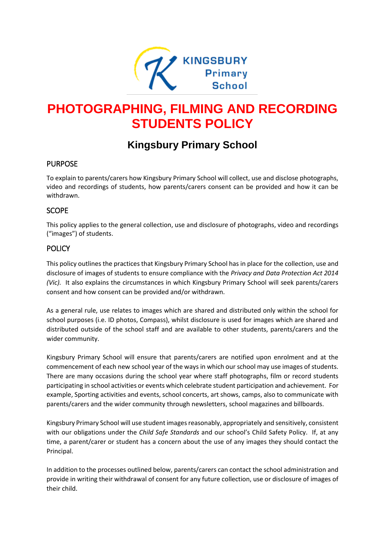

# **PHOTOGRAPHING, FILMING AND RECORDING STUDENTS POLICY**

# **Kingsbury Primary School**

# PURPOSE

To explain to parents/carers how Kingsbury Primary School will collect, use and disclose photographs, video and recordings of students, how parents/carers consent can be provided and how it can be withdrawn.

# SCOPE

This policy applies to the general collection, use and disclosure of photographs, video and recordings ("images") of students.

# **POLICY**

This policy outlines the practices that Kingsbury Primary School has in place for the collection, use and disclosure of images of students to ensure compliance with the *Privacy and Data Protection Act 2014 (Vic).* It also explains the circumstances in which Kingsbury Primary School will seek parents/carers consent and how consent can be provided and/or withdrawn.

As a general rule, use relates to images which are shared and distributed only within the school for school purposes (i.e. ID photos, Compass), whilst disclosure is used for images which are shared and distributed outside of the school staff and are available to other students, parents/carers and the wider community.

Kingsbury Primary School will ensure that parents/carers are notified upon enrolment and at the commencement of each new school year of the ways in which our school may use images of students. There are many occasions during the school year where staff photographs, film or record students participating in school activities or events which celebrate student participation and achievement. For example, Sporting activities and events, school concerts, art shows, camps, also to communicate with parents/carers and the wider community through newsletters, school magazines and billboards.

Kingsbury Primary School will use student images reasonably, appropriately and sensitively, consistent with our obligations under the *Child Safe Standards* and our school's Child Safety Policy. If, at any time, a parent/carer or student has a concern about the use of any images they should contact the Principal.

In addition to the processes outlined below, parents/carers can contact the school administration and provide in writing their withdrawal of consent for any future collection, use or disclosure of images of their child.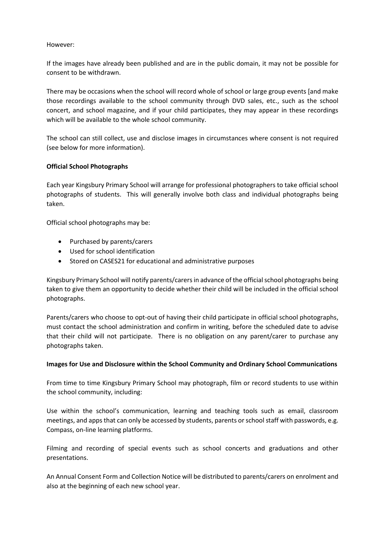#### However:

If the images have already been published and are in the public domain, it may not be possible for consent to be withdrawn.

There may be occasions when the school will record whole of school or large group events [and make those recordings available to the school community through DVD sales, etc., such as the school concert, and school magazine, and if your child participates, they may appear in these recordings which will be available to the whole school community.

The school can still collect, use and disclose images in circumstances where consent is not required (see below for more information).

#### **Official School Photographs**

Each year Kingsbury Primary School will arrange for professional photographers to take official school photographs of students. This will generally involve both class and individual photographs being taken.

Official school photographs may be:

- Purchased by parents/carers
- Used for school identification
- Stored on CASES21 for educational and administrative purposes

Kingsbury Primary School will notify parents/carers in advance of the official school photographs being taken to give them an opportunity to decide whether their child will be included in the official school photographs.

Parents/carers who choose to opt-out of having their child participate in official school photographs, must contact the school administration and confirm in writing, before the scheduled date to advise that their child will not participate. There is no obligation on any parent/carer to purchase any photographs taken.

#### **Images for Use and Disclosure within the School Community and Ordinary School Communications**

From time to time Kingsbury Primary School may photograph, film or record students to use within the school community, including:

Use within the school's communication, learning and teaching tools such as email, classroom meetings, and apps that can only be accessed by students, parents or school staff with passwords, e.g. Compass, on-line learning platforms.

Filming and recording of special events such as school concerts and graduations and other presentations.

An Annual Consent Form and Collection Notice will be distributed to parents/carers on enrolment and also at the beginning of each new school year.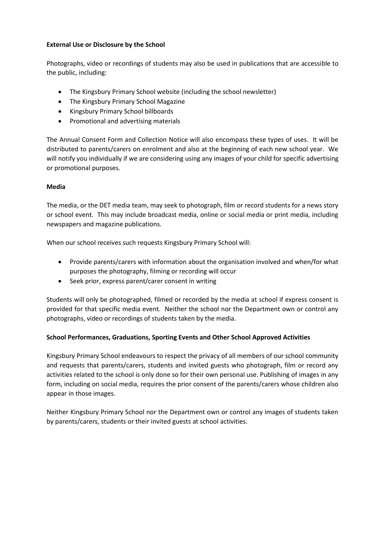#### **External Use or Disclosure by the School**

Photographs, video or recordings of students may also be used in publications that are accessible to the public, including:

- The Kingsbury Primary School website (including the school newsletter)
- The Kingsbury Primary School Magazine
- Kingsbury Primary School billboards
- Promotional and advertising materials

The Annual Consent Form and Collection Notice will also encompass these types of uses. It will be distributed to parents/carers on enrolment and also at the beginning of each new school year. We will notify you individually if we are considering using any images of your child for specific advertising or promotional purposes.

#### **Media**

The media, or the DET media team, may seek to photograph, film or record students for a news story or school event. This may include broadcast media, online or social media or print media, including newspapers and magazine publications.

When our school receives such requests Kingsbury Primary School will:

- Provide parents/carers with information about the organisation involved and when/for what purposes the photography, filming or recording will occur
- Seek prior, express parent/carer consent in writing

Students will only be photographed, filmed or recorded by the media at school if express consent is provided for that specific media event. Neither the school nor the Department own or control any photographs, video or recordings of students taken by the media.

#### **School Performances, Graduations, Sporting Events and Other School Approved Activities**

Kingsbury Primary School endeavours to respect the privacy of all members of our school community and requests that parents/carers, students and invited guests who photograph, film or record any activities related to the school is only done so for their own personal use. Publishing of images in any form, including on social media, requires the prior consent of the parents/carers whose children also appear in those images.

Neither Kingsbury Primary School nor the Department own or control any images of students taken by parents/carers, students or their invited guests at school activities.